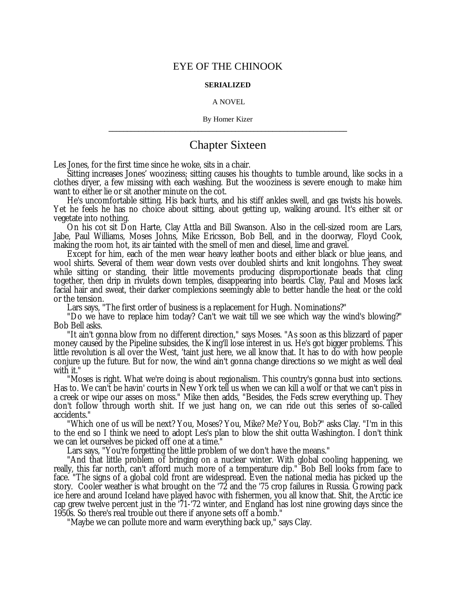## EYE OF THE CHINOOK

## **SERIALIZED**

## A NOVEL

By Homer Kizer **\_\_\_\_\_\_\_\_\_\_\_\_\_\_\_\_\_\_\_\_\_\_\_\_\_\_\_\_\_\_\_\_\_\_\_\_\_\_\_\_\_\_\_\_\_\_\_\_\_\_\_\_\_\_\_\_\_\_\_\_\_\_\_\_**

## Chapter Sixteen

Les Jones, for the first time since he woke, sits in a chair.

Sitting increases Jones' wooziness; sitting causes his thoughts to tumble around, like socks in a clothes dryer, a few missing with each washing. But the wooziness is severe enough to make him want to either lie or sit another minute on the cot.

He's uncomfortable sitting. His back hurts, and his stiff ankles swell, and gas twists his bowels. Yet he feels he has no choice about sitting, about getting up, walking around. It's either sit or vegetate into nothing.

On his cot sit Don Harte, Clay Attla and Bill Swanson. Also in the cell-sized room are Lars, Jabe, Paul Williams, Moses Johns, Mike Ericsson, Bob Bell, and in the doorway, Floyd Cook, making the room hot, its air tainted with the smell of men and diesel, lime and gravel.

Except for him, each of the men wear heavy leather boots and either black or blue jeans, and wool shirts. Several of them wear down vests over doubled shirts and knit longjohns. They sweat while sitting or standing, their little movements producing disproportionate beads that cling together, then drip in rivulets down temples, disappearing into beards. Clay, Paul and Moses lack facial hair and sweat, their darker complexions seemingly able to better handle the heat or the cold or the tension.

Lars says, "The first order of business is a replacement for Hugh. Nominations?"

"Do we have to replace him today? Can't we wait till we see which way the wind's blowing?" Bob Bell asks.

"It ain't gonna blow from no different direction," says Moses. "As soon as this blizzard of paper money caused by the Pipeline subsides, the King'll lose interest in us. He's got bigger problems. This little revolution is all over the West, 'taint just here, we all know that. It has to do with how people conjure up the future. But for now, the wind ain't gonna change directions so we might as well deal with it."

"Moses is right. What we're doing is about regionalism. This country's gonna bust into sections. Has to. We can't be havin' courts in New York tell us when we can kill a wolf or that we can't piss in a creek or wipe our asses on moss." Mike then adds, "Besides, the Feds screw everything up. They don't follow through worth shit. If we just hang on, we can ride out this series of so-called accidents."

"Which one of us will be next? You, Moses? You, Mike? Me? You, Bob?" asks Clay. "I'm in this to the end so I think we need to adopt Les's plan to blow the shit outta Washington. I don't think we can let ourselves be picked off one at a time."

Lars says, "You're forgetting the little problem of we don't have the means."

"And that little problem of bringing on a nuclear winter. With global cooling happening, we really, this far north, can't afford much more of a temperature dip." Bob Bell looks from face to face. "The signs of a global cold front are widespread. Even the national media has picked up the story. Cooler weather is what brought on the '72 and the '75 crop failures in Russia. Growing pack ice here and around Iceland have played havoc with fishermen, you all know that. Shit, the Arctic ice cap grew twelve percent just in the '71-'72 winter, and England has lost nine growing days since the 1950s. So there's real trouble out there if anyone sets off a bomb."

"Maybe we can pollute more and warm everything back up," says Clay.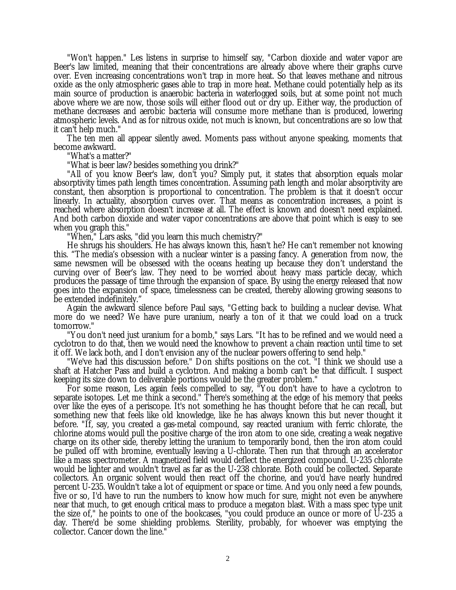"Won't happen." Les listens in surprise to himself say, "Carbon dioxide and water vapor are Beer's law limited, meaning that their concentrations are already above where their graphs curve over. Even increasing concentrations won't trap in more heat. So that leaves methane and nitrous oxide as the only atmospheric gases able to trap in more heat. Methane could potentially help as its main source of production is anaerobic bacteria in waterlogged soils, but at some point not much above where we are now, those soils will either flood out or dry up. Either way, the production of methane decreases and aerobic bacteria will consume more methane than is produced, lowering atmospheric levels. And as for nitrous oxide, not much is known, but concentrations are so low that it can't help much."

The ten men all appear silently awed. Moments pass without anyone speaking, moments that become awkward.

"What's a matter?"

"What is beer law? besides something you drink?"

"All of you know Beer's law, don't you? Simply put, it states that absorption equals molar absorptivity times path length times concentration. Assuming path length and molar absorptivity are constant, then absorption is proportional to concentration. The problem is that it doesn't occur linearly. In actuality, absorption curves over. That means as concentration increases, a point is reached where absorption doesn't increase at all. The effect is known and doesn't need explained. And both carbon dioxide and water vapor concentrations are above that point which is easy to see when you graph this."

"When," Lars asks, "did you learn this much chemistry?"

He shrugs his shoulders. He has always known this, hasn't he? He can't remember not knowing this. "The media's obsession with a nuclear winter is a passing fancy. A generation from now, the same newsmen will be obsessed with the oceans heating up because they don't understand the curving over of Beer's law. They need to be worried about heavy mass particle decay, which produces the passage of time through the expansion of space. By using the energy released that now goes into the expansion of space, timelessness can be created, thereby allowing growing seasons to be extended indefinitely."

Again the awkward silence before Paul says, "Getting back to building a nuclear devise. What more do we need? We have pure uranium, nearly a ton of it that we could load on a truck tomorrow."

"You don't need just uranium for a bomb," says Lars. "It has to be refined and we would need a cyclotron to do that, then we would need the knowhow to prevent a chain reaction until time to set it off. We lack both, and I don't envision any of the nuclear powers offering to send help."

"We've had this discussion before." Don shifts positions on the cot. "I think we should use a shaft at Hatcher Pass and build a cyclotron. And making a bomb can't be that difficult. I suspect keeping its size down to deliverable portions would be the greater problem."

For some reason, Les again feels compelled to say, "You don't have to have a cyclotron to separate isotopes. Let me think a second." There's something at the edge of his memory that peeks over like the eyes of a periscope. It's not something he has thought before that he can recall, but something new that feels like old knowledge, like he has always known this but never thought it before. "If, say, you created a gas-metal compound, say reacted uranium with ferric chlorate, the chlorine atoms would pull the positive charge of the iron atom to one side, creating a weak negative charge on its other side, thereby letting the uranium to temporarily bond, then the iron atom could be pulled off with bromine, eventually leaving a U-chlorate. Then run that through an accelerator like a mass spectrometer. A magnetized field would deflect the energized compound. U-235 chlorate would be lighter and wouldn't travel as far as the U-238 chlorate. Both could be collected. Separate collectors. An organic solvent would then react off the chorine, and you'd have nearly hundred percent U-235. Wouldn't take a lot of equipment or space or time. And you only need a few pounds, five or so, I'd have to run the numbers to know how much for sure, might not even be anywhere near that much, to get enough critical mass to produce a megaton blast. With a mass spec type unit the size of," he points to one of the bookcases, "you could produce an ounce or more of U-235 a day. There'd be some shielding problems. Sterility, probably, for whoever was emptying the collector. Cancer down the line."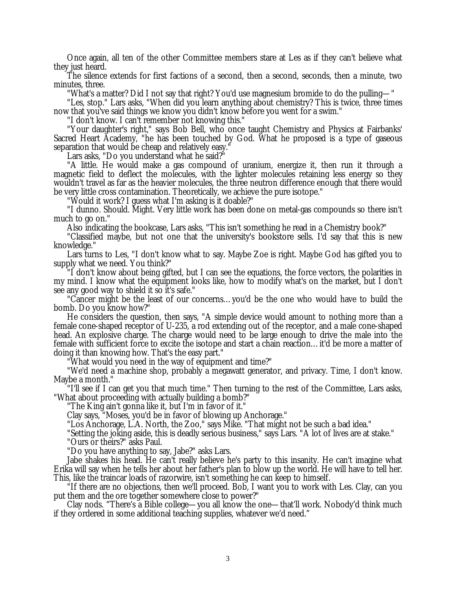Once again, all ten of the other Committee members stare at Les as if they can't believe what they just heard.

The silence extends for first factions of a second, then a second, seconds, then a minute, two minutes, three.

"What's a matter? Did I not say that right? You'd use magnesium bromide to do the pulling— "

"Les, stop." Lars asks, "When did you learn anything about chemistry? This is twice, three times now that you've said things we know you didn't know before you went for a swim."

"I don't know. I can't remember not knowing this."

"Your daughter's right," says Bob Bell, who once taught Chemistry and Physics at Fairbanks' Sacred Heart Academy, "he has been touched by God. What he proposed is a type of gaseous separation that would be cheap and relatively easy.

Lars asks, "Do you understand what he said?"

"A little. He would make a gas compound of uranium, energize it, then run it through a magnetic field to deflect the molecules, with the lighter molecules retaining less energy so they wouldn't travel as far as the heavier molecules, the three neutron difference enough that there would be very little cross contamination. Theoretically, we achieve the pure isotope."

"Would it work? I guess what I'm asking is it doable?"

"I dunno. Should. Might. Very little work has been done on metal-gas compounds so there isn't much to go on."

Also indicating the bookcase, Lars asks, "This isn't something he read in a Chemistry book?"

"Classified maybe, but not one that the university's bookstore sells. I'd say that this is new knowledge."

Lars turns to Les, "I don't know what to say. Maybe Zoe is right. Maybe God has gifted you to supply what we need. You think?"

 $\tilde{I}$  don't know about being gifted, but I can see the equations, the force vectors, the polarities in my mind. I know what the equipment looks like, how to modify what's on the market, but I don't see any good way to shield it so it's safe."

"Cancer might be the least of our concerns… you'd be the one who would have to build the bomb. Do you know how?"

He considers the question, then says, "A simple device would amount to nothing more than a female cone-shaped receptor of U-235, a rod extending out of the receptor, and a male cone-shaped head. An explosive charge. The charge would need to be large enough to drive the male into the female with sufficient force to excite the isotope and start a chain reaction… it'd be more a matter of doing it than knowing how. That's the easy part."

"What would you need in the way of equipment and time?"

"We'd need a machine shop, probably a megawatt generator, and privacy. Time, I don't know. Maybe a month."

"I'll see if I can get you that much time." Then turning to the rest of the Committee, Lars asks, "What about proceeding with actually building a bomb?"

"The King ain't gonna like it, but I'm in favor of it."

Clay says, "Moses, you'd be in favor of blowing up Anchorage."

"Los Anchorage, L.A. North, the Zoo," says Mike. "That might not be such a bad idea."

"Setting the joking aside, this is deadly serious business," says Lars. "A lot of lives are at stake." "Ours or theirs?" asks Paul.

"Do you have anything to say, Jabe?" asks Lars.

Jabe shakes his head. He can't really believe he's party to this insanity. He can't imagine what Erika will say when he tells her about her father's plan to blow up the world. He will have to tell her. This, like the traincar loads of razorwire, isn't something he can keep to himself.

"If there are no objections, then we'll proceed. Bob, I want you to work with Les. Clay, can you put them and the ore together somewhere close to power?"

Clay nods. "There's a Bible college— you all know the one— that'll work. Nobody'd think much if they ordered in some additional teaching supplies, whatever we'd need."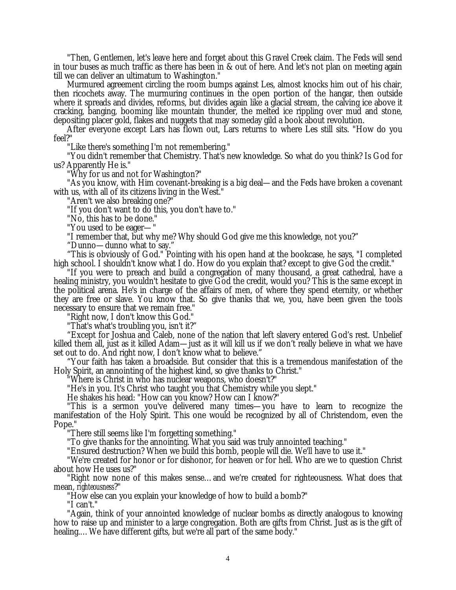"Then, Gentlemen, let's leave here and forget about this Gravel Creek claim. The Feds will send in tour buses as much traffic as there has been in & out of here. And let's not plan on meeting again till we can deliver an ultimatum to Washington."

Murmured agreement circling the room bumps against Les, almost knocks him out of his chair, then ricochets away. The murmuring continues in the open portion of the hangar, then outside where it spreads and divides, reforms, but divides again like a glacial stream, the calving ice above it cracking, banging, booming like mountain thunder, the melted ice rippling over mud and stone, depositing placer gold, flakes and nuggets that may someday gild a book about revolution.

After everyone except Lars has flown out, Lars returns to where Les still sits. "How do you feel?"

"Like there's something I'm not remembering."

"You didn't remember that Chemistry. That's new knowledge. So what do you think? Is God for us? Apparently He is."

"Why for us and not for Washington?"

"As you know, with Him covenant-breaking is a big deal— and the Feds have broken a covenant with us, with all of its citizens living in the West.'

"Aren't we also breaking one?"

"If you don't want to do this, you don't have to."

"No, this has to be done."

"You used to be eager— "

"I remember that, but why me? Why should God give me this knowledge, not you?"

"Dunno— dunno what to say."

"This is obviously of God." Pointing with his open hand at the bookcase, he says, "I completed high school. I shouldn't know what I do. How do you explain that? except to give God the credit."

"If you were to preach and build a congregation of many thousand, a great cathedral, have a healing ministry, you wouldn't hesitate to give God the credit, would you? This is the same except in the political arena. He's in charge of the affairs of men, of where they spend eternity, or whether they are free or slave. You know that. So give thanks that we, you, have been given the tools necessary to ensure that we remain free."

"Right now, I don't know this God."

"That's what's troubling you, isn't it?"

"Except for Joshua and Caleb, none of the nation that left slavery entered God's rest. Unbelief killed them all, just as it killed Adam— just as it will kill us if we don't really believe in what we have set out to do. And right now, I don't know what to believe."

"Your faith has taken a broadside. But consider that this is a tremendous manifestation of the Holy Spirit, an annointing of the highest kind, so give thanks to Christ."

"Where is Christ in who has nuclear weapons, who doesn't?"

"He's in you. It's Christ who taught you that Chemistry while you slept."

He shakes his head: "How can you know? How can I know?"

"This is a sermon you've delivered many times— you have to learn to recognize the manifestation of the Holy Spirit. This one would be recognized by all of Christendom, even the Pope."

"There still seems like I'm forgetting something."

"To give thanks for the annointing. What you said was truly annointed teaching."

"Ensured destruction? When we build this bomb, people will die. We'll have to use it."

"We're created for honor or for dishonor, for heaven or for hell. Who are we to question Christ about how He uses us?"

"Right now none of this makes sense… and we're created for righteousness. What does that mean, *righteousness*?"

"How else can you explain your knowledge of how to build a bomb?"

"I can't."

"Again, think of your annointed knowledge of nuclear bombs as directly analogous to knowing how to raise up and minister to a large congregation. Both are gifts from Christ. Just as is the gift of healing.… We have different gifts, but we're all part of the same body."